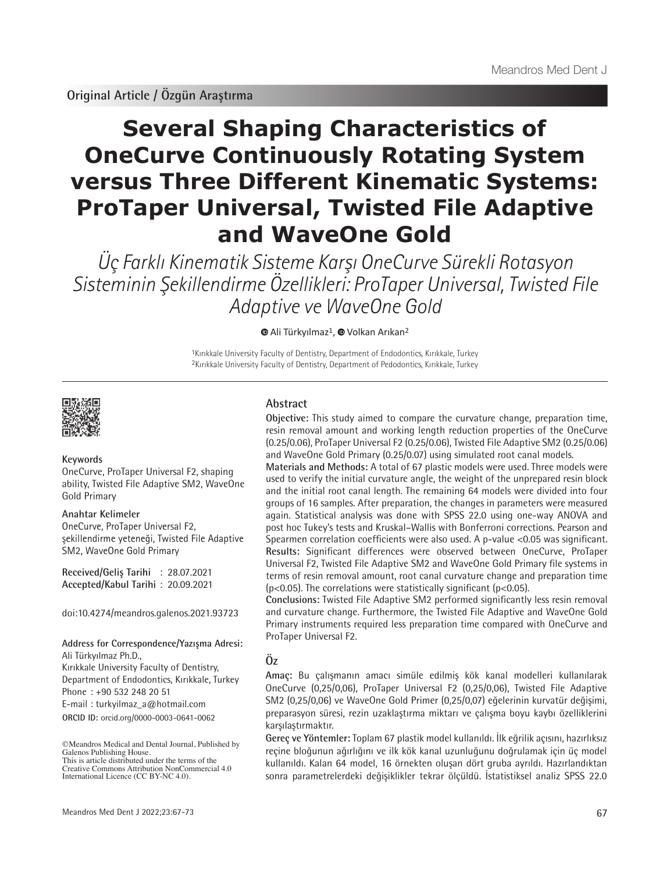# **Several Shaping Characteristics of OneCurve Continuously Rotating System versus Three Different Kinematic Systems: ProTaper Universal, Twisted File Adaptive and WaveOne Gold**

Üç Farklı Kinematik Sisteme Karşı OneCurve Sürekli Rotasyon Sisteminin Şekillendirme Özellikleri: ProTaper Universal, Twisted File Adaptive ve WaveOne Gold

<sup>■</sup>Ali Türkyılmaz<sup>1</sup>, ■ Volkan Arıkan<sup>2</sup>

1Kırıkkale University Faculty of Dentistry, Department of Endodontics, Kırıkkale, Turkey 2Kırıkkale University Faculty of Dentistry, Department of Pedodontics, Kırıkkale, Turkey



## **Keywords**

OneCurve, ProTaper Universal F2, shaping ability, Twisted File Adaptive SM2, WaveOne Gold Primary

**Anahtar Kelimeler** OneCurve, ProTaper Universal F2, şekillendirme yeteneği, Twisted File Adaptive SM2, WaveOne Gold Primary

**Received/Geliş Tarihi** : 28.07.2021 **Accepted/Kabul Tarihi** : 20.09.2021

doi:10.4274/meandros.galenos.2021.93723

#### **Address for Correspondence/Yazışma Adresi:** Ali Türkyılmaz Ph.D.,

**ORCID ID:** orcid.org/0000-0003-0641-0062 Kırıkkale University Faculty of Dentistry, Department of Endodontics, Kırıkkale, Turkey Phone : +90 532 248 20 51 E-mail : turkyilmaz\_a@hotmail.com

©Meandros Medical and Dental Journal, Published by Galenos Publishing House. This is article distributed under the terms of the

Creative Commons Attribution NonCommercial 4.0 International Licence (CC BY-NC 4.0).

# **Abstract**

**Objective:** This study aimed to compare the curvature change, preparation time, resin removal amount and working length reduction properties of the OneCurve (0.25/0.06), ProTaper Universal F2 (0.25/0.06), Twisted File Adaptive SM2 (0.25/0.06) and WaveOne Gold Primary (0.25/0.07) using simulated root canal models.

**Materials and Methods:** A total of 67 plastic models were used. Three models were used to verify the initial curvature angle, the weight of the unprepared resin block and the initial root canal length. The remaining 64 models were divided into four groups of 16 samples. After preparation, the changes in parameters were measured again. Statistical analysis was done with SPSS 22.0 using one-way ANOVA and post hoc Tukey's tests and Kruskal–Wallis with Bonferroni corrections. Pearson and Spearmen correlation coefficients were also used. A p-value <0.05 was significant. **Results:** Significant differences were observed between OneCurve, ProTaper Universal F2, Twisted File Adaptive SM2 and WaveOne Gold Primary file systems in terms of resin removal amount, root canal curvature change and preparation time (p<0.05). The correlations were statistically significant (p<0.05).

**Conclusions:** Twisted File Adaptive SM2 performed significantly less resin removal and curvature change. Furthermore, the Twisted File Adaptive and WaveOne Gold Primary instruments required less preparation time compared with OneCurve and ProTaper Universal F2.

# **Öz**

**Amaç:** Bu çalışmanın amacı simüle edilmiş kök kanal modelleri kullanılarak OneCurve (0,25/0,06), ProTaper Universal F2 (0,25/0,06), Twisted File Adaptive SM2 (0,25/0,06) ve WaveOne Gold Primer (0,25/0,07) eğelerinin kurvatür değişimi, preparasyon süresi, rezin uzaklaştırma miktarı ve çalışma boyu kaybı özelliklerini karşılaştırmaktır.

**Gereç ve Yöntemler:** Toplam 67 plastik model kullanıldı. İlk eğrilik açısını, hazırlıksız reçine bloğunun ağırlığını ve ilk kök kanal uzunluğunu doğrulamak için üç model kullanıldı. Kalan 64 model, 16 örnekten oluşan dört gruba ayrıldı. Hazırlandıktan sonra parametrelerdeki değişiklikler tekrar ölçüldü. İstatistiksel analiz SPSS 22.0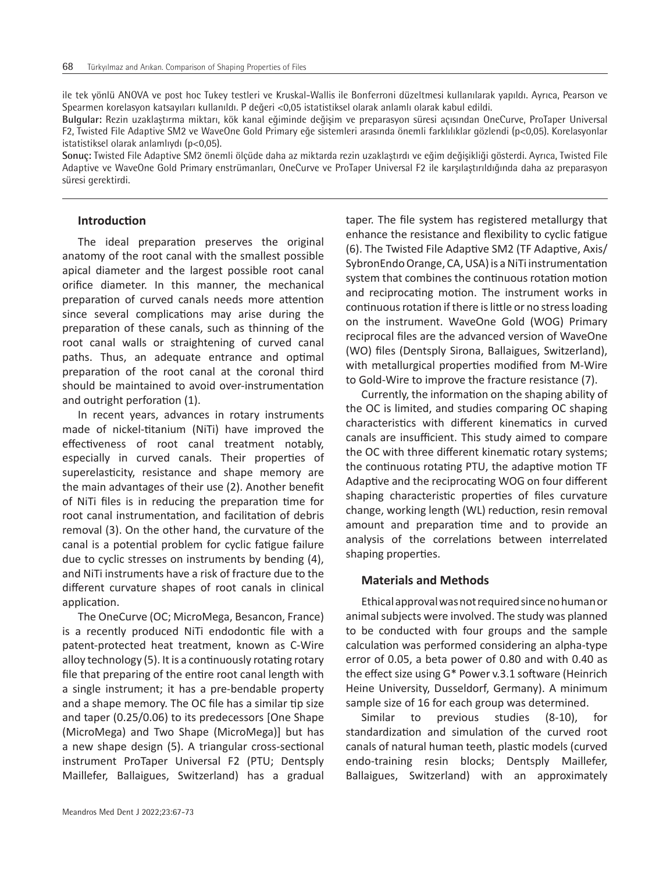ile tek yönlü ANOVA ve post hoc Tukey testleri ve Kruskal-Wallis ile Bonferroni düzeltmesi kullanılarak yapıldı. Ayrıca, Pearson ve Spearmen korelasyon katsayıları kullanıldı. P değeri <0,05 istatistiksel olarak anlamlı olarak kabul edildi.

**Bulgular:** Rezin uzaklaştırma miktarı, kök kanal eğiminde değişim ve preparasyon süresi açısından OneCurve, ProTaper Universal F2, Twisted File Adaptive SM2 ve WaveOne Gold Primary eğe sistemleri arasında önemli farklılıklar gözlendi (p<0,05). Korelasyonlar istatistiksel olarak anlamlıydı (p<0,05).

**Sonuç:** Twisted File Adaptive SM2 önemli ölçüde daha az miktarda rezin uzaklaştırdı ve eğim değişikliği gösterdi. Ayrıca, Twisted File Adaptive ve WaveOne Gold Primary enstrümanları, OneCurve ve ProTaper Universal F2 ile karşılaştırıldığında daha az preparasyon süresi gerektirdi.

## **Introduction**

The ideal preparation preserves the original anatomy of the root canal with the smallest possible apical diameter and the largest possible root canal orifice diameter. In this manner, the mechanical preparation of curved canals needs more attention since several complications may arise during the preparation of these canals, such as thinning of the root canal walls or straightening of curved canal paths. Thus, an adequate entrance and optimal preparation of the root canal at the coronal third should be maintained to avoid over-instrumentation and outright perforation (1).

In recent years, advances in rotary instruments made of nickel-titanium (NiTi) have improved the effectiveness of root canal treatment notably, especially in curved canals. Their properties of superelasticity, resistance and shape memory are the main advantages of their use (2). Another benefit of NiTi files is in reducing the preparation time for root canal instrumentation, and facilitation of debris removal (3). On the other hand, the curvature of the canal is a potential problem for cyclic fatigue failure due to cyclic stresses on instruments by bending (4), and NiTi instruments have a risk of fracture due to the different curvature shapes of root canals in clinical application.

The OneCurve (OC; MicroMega, Besancon, France) is a recently produced NiTi endodontic file with a patent-protected heat treatment, known as C-Wire alloy technology (5). It is a continuously rotating rotary file that preparing of the entire root canal length with a single instrument; it has a pre-bendable property and a shape memory. The OC file has a similar tip size and taper (0.25/0.06) to its predecessors [One Shape (MicroMega) and Two Shape (MicroMega)] but has a new shape design (5). A triangular cross-sectional instrument ProTaper Universal F2 (PTU; Dentsply Maillefer, Ballaigues, Switzerland) has a gradual

taper. The file system has registered metallurgy that enhance the resistance and flexibility to cyclic fatigue (6). The Twisted File Adaptive SM2 (TF Adaptive, Axis/ SybronEndo Orange, CA, USA) is a NiTi instrumentation system that combines the continuous rotation motion and reciprocating motion. The instrument works in continuous rotation if there is little or no stress loading on the instrument. WaveOne Gold (WOG) Primary reciprocal files are the advanced version of WaveOne (WO) files (Dentsply Sirona, Ballaigues, Switzerland), with metallurgical properties modified from M-Wire to Gold-Wire to improve the fracture resistance (7).

Currently, the information on the shaping ability of the OC is limited, and studies comparing OC shaping characteristics with different kinematics in curved canals are insufficient. This study aimed to compare the OC with three different kinematic rotary systems; the continuous rotating PTU, the adaptive motion TF Adaptive and the reciprocating WOG on four different shaping characteristic properties of files curvature change, working length (WL) reduction, resin removal amount and preparation time and to provide an analysis of the correlations between interrelated shaping properties.

#### **Materials and Methods**

Ethical approval was not required since no human or animal subjects were involved. The study was planned to be conducted with four groups and the sample calculation was performed considering an alpha-type error of 0.05, a beta power of 0.80 and with 0.40 as the effect size using G\* Power v.3.1 software (Heinrich Heine University, Dusseldorf, Germany). A minimum sample size of 16 for each group was determined.

Similar to previous studies (8-10), for standardization and simulation of the curved root canals of natural human teeth, plastic models (curved endo-training resin blocks; Dentsply Maillefer, Ballaigues, Switzerland) with an approximately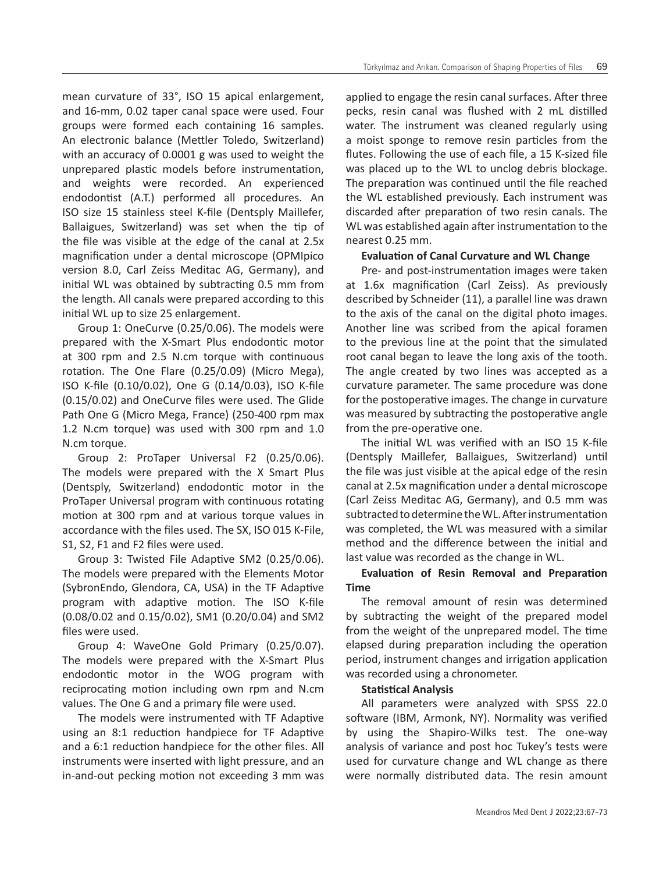mean curvature of 33°, ISO 15 apical enlargement, and 16-mm, 0.02 taper canal space were used. Four groups were formed each containing 16 samples. An electronic balance (Mettler Toledo, Switzerland) with an accuracy of 0.0001 g was used to weight the unprepared plastic models before instrumentation, and weights were recorded. An experienced endodontist (A.T.) performed all procedures. An ISO size 15 stainless steel K-file (Dentsply Maillefer, Ballaigues, Switzerland) was set when the tip of the file was visible at the edge of the canal at 2.5x magnification under a dental microscope (OPMIpico version 8.0, Carl Zeiss Meditac AG, Germany), and initial WL was obtained by subtracting 0.5 mm from the length. All canals were prepared according to this initial WL up to size 25 enlargement.

Group 1: OneCurve (0.25/0.06). The models were prepared with the X-Smart Plus endodontic motor at 300 rpm and 2.5 N.cm torque with continuous rotation. The One Flare (0.25/0.09) (Micro Mega), ISO K-file (0.10/0.02), One G (0.14/0.03), ISO K-file (0.15/0.02) and OneCurve files were used. The Glide Path One G (Micro Mega, France) (250-400 rpm max 1.2 N.cm torque) was used with 300 rpm and 1.0 N.cm torque.

Group 2: ProTaper Universal F2 (0.25/0.06). The models were prepared with the X Smart Plus (Dentsply, Switzerland) endodontic motor in the ProTaper Universal program with continuous rotating motion at 300 rpm and at various torque values in accordance with the files used. The SX, ISO 015 K-File, S1, S2, F1 and F2 files were used.

Group 3: Twisted File Adaptive SM2 (0.25/0.06). The models were prepared with the Elements Motor (SybronEndo, Glendora, CA, USA) in the TF Adaptive program with adaptive motion. The ISO K-file (0.08/0.02 and 0.15/0.02), SM1 (0.20/0.04) and SM2 files were used.

Group 4: WaveOne Gold Primary (0.25/0.07). The models were prepared with the X-Smart Plus endodontic motor in the WOG program with reciprocating motion including own rpm and N.cm values. The One G and a primary file were used.

The models were instrumented with TF Adaptive using an 8:1 reduction handpiece for TF Adaptive and a 6:1 reduction handpiece for the other files. All instruments were inserted with light pressure, and an in-and-out pecking motion not exceeding 3 mm was applied to engage the resin canal surfaces. After three pecks, resin canal was flushed with 2 mL distilled water. The instrument was cleaned regularly using a moist sponge to remove resin particles from the flutes. Following the use of each file, a 15 K-sized file was placed up to the WL to unclog debris blockage. The preparation was continued until the file reached the WL established previously. Each instrument was discarded after preparation of two resin canals. The WL was established again after instrumentation to the nearest 0.25 mm.

# **Evaluation of Canal Curvature and WL Change**

Pre- and post-instrumentation images were taken at 1.6x magnification (Carl Zeiss). As previously described by Schneider (11), a parallel line was drawn to the axis of the canal on the digital photo images. Another line was scribed from the apical foramen to the previous line at the point that the simulated root canal began to leave the long axis of the tooth. The angle created by two lines was accepted as a curvature parameter. The same procedure was done for the postoperative images. The change in curvature was measured by subtracting the postoperative angle from the pre-operative one.

The initial WL was verified with an ISO 15 K-file (Dentsply Maillefer, Ballaigues, Switzerland) until the file was just visible at the apical edge of the resin canal at 2.5x magnification under a dental microscope (Carl Zeiss Meditac AG, Germany), and 0.5 mm was subtracted to determine the WL. After instrumentation was completed, the WL was measured with a similar method and the difference between the initial and last value was recorded as the change in WL.

# **Evaluation of Resin Removal and Preparation Time**

The removal amount of resin was determined by subtracting the weight of the prepared model from the weight of the unprepared model. The time elapsed during preparation including the operation period, instrument changes and irrigation application was recorded using a chronometer.

# **Statistical Analysis**

All parameters were analyzed with SPSS 22.0 software (IBM, Armonk, NY). Normality was verified by using the Shapiro-Wilks test. The one-way analysis of variance and post hoc Tukey's tests were used for curvature change and WL change as there were normally distributed data. The resin amount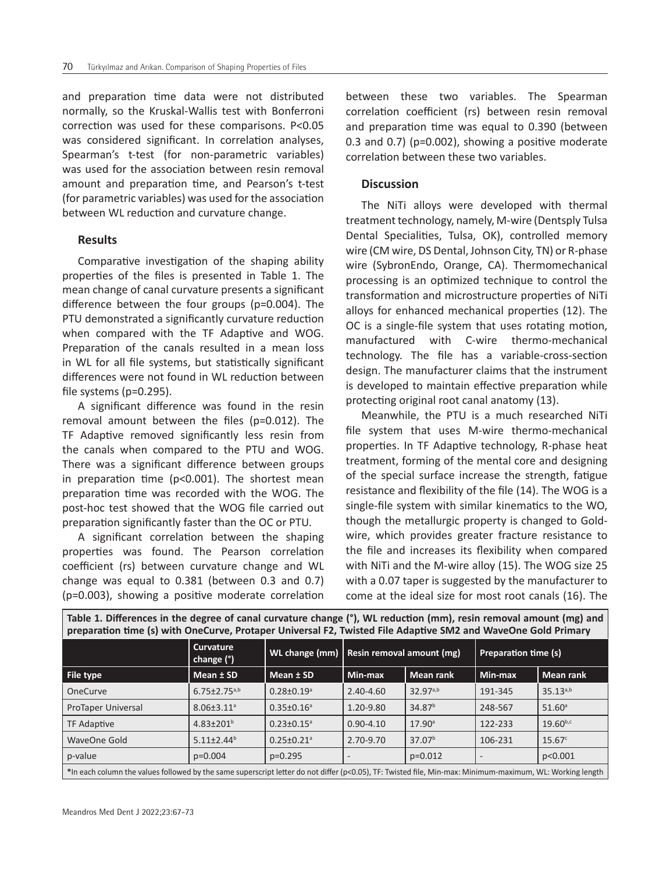and preparation time data were not distributed normally, so the Kruskal-Wallis test with Bonferroni correction was used for these comparisons. P<0.05 was considered significant. In correlation analyses, Spearman's t-test (for non-parametric variables) was used for the association between resin removal amount and preparation time, and Pearson's t-test (for parametric variables) was used for the association between WL reduction and curvature change.

## **Results**

Comparative investigation of the shaping ability properties of the files is presented in Table 1. The mean change of canal curvature presents a significant difference between the four groups (p=0.004). The PTU demonstrated a significantly curvature reduction when compared with the TF Adaptive and WOG. Preparation of the canals resulted in a mean loss in WL for all file systems, but statistically significant differences were not found in WL reduction between file systems (p=0.295).

A significant difference was found in the resin removal amount between the files (p=0.012). The TF Adaptive removed significantly less resin from the canals when compared to the PTU and WOG. There was a significant difference between groups in preparation time (p<0.001). The shortest mean preparation time was recorded with the WOG. The post-hoc test showed that the WOG file carried out preparation significantly faster than the OC or PTU.

A significant correlation between the shaping properties was found. The Pearson correlation coefficient (rs) between curvature change and WL change was equal to 0.381 (between 0.3 and 0.7) (p=0.003), showing a positive moderate correlation

between these two variables. The Spearman correlation coefficient (rs) between resin removal and preparation time was equal to 0.390 (between 0.3 and 0.7) (p=0.002), showing a positive moderate correlation between these two variables.

## **Discussion**

The NiTi alloys were developed with thermal treatment technology, namely, M-wire (Dentsply Tulsa Dental Specialities, Tulsa, OK), controlled memory wire (CM wire, DS Dental, Johnson City, TN) or R-phase wire (SybronEndo, Orange, CA). Thermomechanical processing is an optimized technique to control the transformation and microstructure properties of NiTi alloys for enhanced mechanical properties (12). The OC is a single-file system that uses rotating motion, manufactured with C-wire thermo-mechanical technology. The file has a variable-cross-section design. The manufacturer claims that the instrument is developed to maintain effective preparation while protecting original root canal anatomy (13).

Meanwhile, the PTU is a much researched NiTi file system that uses M-wire thermo-mechanical properties. In TF Adaptive technology, R-phase heat treatment, forming of the mental core and designing of the special surface increase the strength, fatigue resistance and flexibility of the file (14). The WOG is a single-file system with similar kinematics to the WO, though the metallurgic property is changed to Goldwire, which provides greater fracture resistance to the file and increases its flexibility when compared with NiTi and the M-wire alloy (15). The WOG size 25 with a 0.07 taper is suggested by the manufacturer to come at the ideal size for most root canals (16). The

| Table 1. Differences in the degree of canal curvature change (°), WL reduction (mm), resin removal amount (mg) and<br>preparation time (s) with OneCurve, Protaper Universal F2, Twisted File Adaptive SM2 and WaveOne Gold Primary |                                |                              |                           |                    |                             |                    |
|-------------------------------------------------------------------------------------------------------------------------------------------------------------------------------------------------------------------------------------|--------------------------------|------------------------------|---------------------------|--------------------|-----------------------------|--------------------|
|                                                                                                                                                                                                                                     | <b>Curvature</b><br>change (°) | WL change (mm)               | Resin removal amount (mg) |                    | <b>Preparation time (s)</b> |                    |
| File type                                                                                                                                                                                                                           | Mean ± SD                      | Mean ± SD                    | Min-max                   | <b>Mean rank</b>   | Min-max                     | Mean rank          |
| OneCurve                                                                                                                                                                                                                            | $6.75 \pm 2.75^{a,b}$          | $0.28 \pm 0.19$ <sup>a</sup> | 2.40-4.60                 | $32.97^{a,b}$      | 191-345                     | $35.13^{a,b}$      |
| <b>ProTaper Universal</b>                                                                                                                                                                                                           | $8.06 \pm 3.11$ <sup>a</sup>   | $0.35 \pm 0.16$ <sup>a</sup> | 1.20-9.80                 | 34.87 <sup>b</sup> | 248-567                     | $51.60^{\circ}$    |
| TF Adaptive                                                                                                                                                                                                                         | $4.83 \pm 201$ <sup>b</sup>    | $0.23 \pm 0.15$ <sup>a</sup> | $0.90 - 4.10$             | $17.90^{\circ}$    | 122-233                     | $19.60^{b,c}$      |
| WaveOne Gold                                                                                                                                                                                                                        | $5.11 \pm 2.44$ <sup>b</sup>   | $0.25 \pm 0.21$ <sup>a</sup> | 2.70-9.70                 | 37.07 <sup>b</sup> | 106-231                     | 15.67 <sup>c</sup> |
| p-value                                                                                                                                                                                                                             | $p=0.004$                      | $p=0.295$                    |                           | $p=0.012$          |                             | p<0.001            |
| If the each column the values followed by the same superscript letter do not differ (p<0.05), TF: Twisted file, Min-max: Minimum-maximum, WL: Working length                                                                        |                                |                              |                           |                    |                             |                    |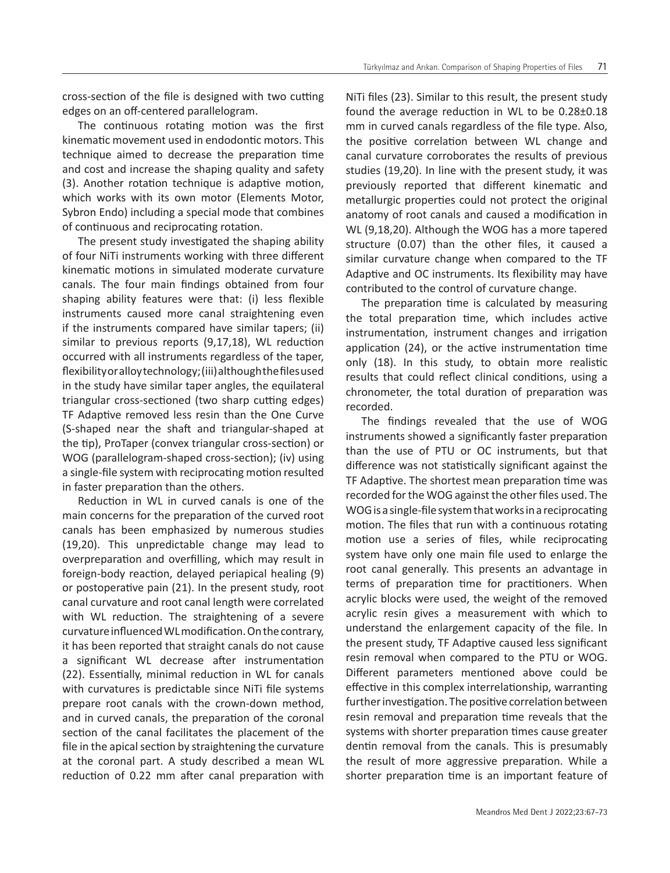cross-section of the file is designed with two cutting edges on an off-centered parallelogram.

The continuous rotating motion was the first kinematic movement used in endodontic motors. This technique aimed to decrease the preparation time and cost and increase the shaping quality and safety (3). Another rotation technique is adaptive motion, which works with its own motor (Elements Motor, Sybron Endo) including a special mode that combines of continuous and reciprocating rotation.

The present study investigated the shaping ability of four NiTi instruments working with three different kinematic motions in simulated moderate curvature canals. The four main findings obtained from four shaping ability features were that: (i) less flexible instruments caused more canal straightening even if the instruments compared have similar tapers; (ii) similar to previous reports (9,17,18), WL reduction occurred with all instruments regardless of the taper, flexibility or alloy technology; (iii) although the files used in the study have similar taper angles, the equilateral triangular cross-sectioned (two sharp cutting edges) TF Adaptive removed less resin than the One Curve (S-shaped near the shaft and triangular-shaped at the tip), ProTaper (convex triangular cross-section) or WOG (parallelogram-shaped cross-section); (iv) using a single-file system with reciprocating motion resulted in faster preparation than the others.

Reduction in WL in curved canals is one of the main concerns for the preparation of the curved root canals has been emphasized by numerous studies (19,20). This unpredictable change may lead to overpreparation and overfilling, which may result in foreign-body reaction, delayed periapical healing (9) or postoperative pain (21). In the present study, root canal curvature and root canal length were correlated with WL reduction. The straightening of a severe curvature influenced WL modification. On the contrary, it has been reported that straight canals do not cause a significant WL decrease after instrumentation (22). Essentially, minimal reduction in WL for canals with curvatures is predictable since NiTi file systems prepare root canals with the crown-down method, and in curved canals, the preparation of the coronal section of the canal facilitates the placement of the file in the apical section by straightening the curvature at the coronal part. A study described a mean WL reduction of 0.22 mm after canal preparation with

NiTi files (23). Similar to this result, the present study found the average reduction in WL to be 0.28±0.18 mm in curved canals regardless of the file type. Also, the positive correlation between WL change and canal curvature corroborates the results of previous studies (19,20). In line with the present study, it was previously reported that different kinematic and metallurgic properties could not protect the original anatomy of root canals and caused a modification in WL (9,18,20). Although the WOG has a more tapered structure (0.07) than the other files, it caused a similar curvature change when compared to the TF Adaptive and OC instruments. Its flexibility may have contributed to the control of curvature change.

The preparation time is calculated by measuring the total preparation time, which includes active instrumentation, instrument changes and irrigation application (24), or the active instrumentation time only (18). In this study, to obtain more realistic results that could reflect clinical conditions, using a chronometer, the total duration of preparation was recorded.

The findings revealed that the use of WOG instruments showed a significantly faster preparation than the use of PTU or OC instruments, but that difference was not statistically significant against the TF Adaptive. The shortest mean preparation time was recorded for the WOG against the other files used. The WOG is a single-file system that works in a reciprocating motion. The files that run with a continuous rotating motion use a series of files, while reciprocating system have only one main file used to enlarge the root canal generally. This presents an advantage in terms of preparation time for practitioners. When acrylic blocks were used, the weight of the removed acrylic resin gives a measurement with which to understand the enlargement capacity of the file. In the present study, TF Adaptive caused less significant resin removal when compared to the PTU or WOG. Different parameters mentioned above could be effective in this complex interrelationship, warranting further investigation. The positive correlation between resin removal and preparation time reveals that the systems with shorter preparation times cause greater dentin removal from the canals. This is presumably the result of more aggressive preparation. While a shorter preparation time is an important feature of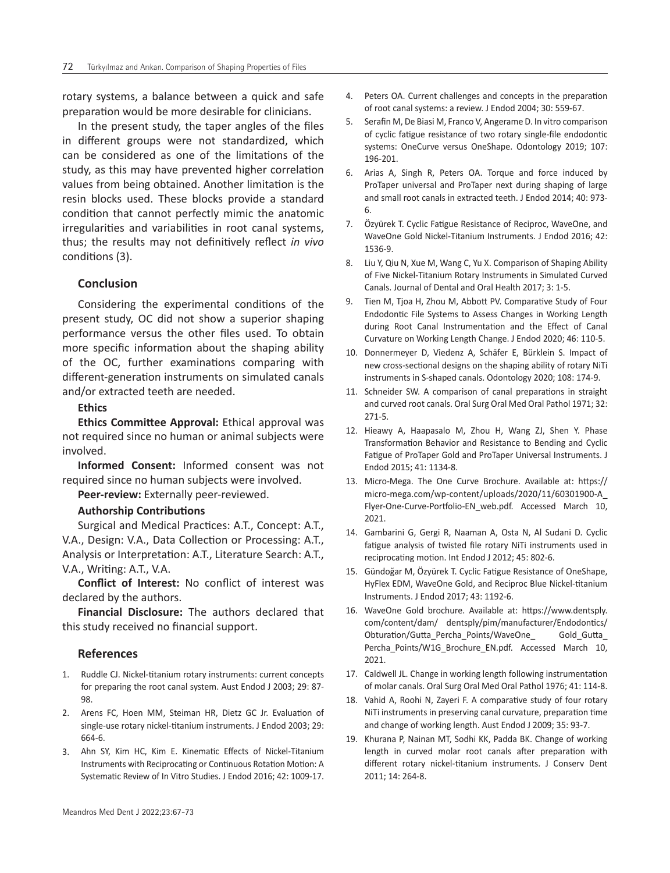rotary systems, a balance between a quick and safe preparation would be more desirable for clinicians.

In the present study, the taper angles of the files in different groups were not standardized, which can be considered as one of the limitations of the study, as this may have prevented higher correlation values from being obtained. Another limitation is the resin blocks used. These blocks provide a standard condition that cannot perfectly mimic the anatomic irregularities and variabilities in root canal systems, thus; the results may not definitively reflect *in vivo*  conditions (3).

# **Conclusion**

Considering the experimental conditions of the present study, OC did not show a superior shaping performance versus the other files used. To obtain more specific information about the shaping ability of the OC, further examinations comparing with different-generation instruments on simulated canals and/or extracted teeth are needed.

### **Ethics**

**Ethics Committee Approval:** Ethical approval was not required since no human or animal subjects were involved.

**Informed Consent:** Informed consent was not required since no human subjects were involved.

**Peer-review:** Externally peer-reviewed.

## **Authorship Contributions**

Surgical and Medical Practices: A.T., Concept: A.T., V.A., Design: V.A., Data Collection or Processing: A.T., Analysis or Interpretation: A.T., Literature Search: A.T., V.A., Writing: A.T., V.A.

**Conflict of Interest:** No conflict of interest was declared by the authors.

**Financial Disclosure:** The authors declared that this study received no financial support.

## **References**

- 1. Ruddle CJ. Nickel-titanium rotary instruments: current concepts for preparing the root canal system. Aust Endod J 2003; 29: 87- 98.
- 2. Arens FC, Hoen MM, Steiman HR, Dietz GC Jr. Evaluation of single-use rotary nickel-titanium instruments. J Endod 2003; 29: 664-6.
- 3. Ahn SY, Kim HC, Kim E. Kinematic Effects of Nickel-Titanium Instruments with Reciprocating or Continuous Rotation Motion: A Systematic Review of In Vitro Studies. J Endod 2016; 42: 1009-17.
- 4. Peters OA. Current challenges and concepts in the preparation of root canal systems: a review. J Endod 2004; 30: 559-67.
- 5. Serafin M, De Biasi M, Franco V, Angerame D. In vitro comparison of cyclic fatigue resistance of two rotary single-file endodontic systems: OneCurve versus OneShape. Odontology 2019; 107: 196-201.
- 6. Arias A, Singh R, Peters OA. Torque and force induced by ProTaper universal and ProTaper next during shaping of large and small root canals in extracted teeth. J Endod 2014; 40: 973- 6.
- 7. Özyürek T. Cyclic Fatigue Resistance of Reciproc, WaveOne, and WaveOne Gold Nickel-Titanium Instruments. J Endod 2016; 42: 1536-9.
- 8. Liu Y, Qiu N, Xue M, Wang C, Yu X. Comparison of Shaping Ability of Five Nickel-Titanium Rotary Instruments in Simulated Curved Canals. Journal of Dental and Oral Health 2017; 3: 1-5.
- 9. Tien M, Tjoa H, Zhou M, Abbott PV. Comparative Study of Four Endodontic File Systems to Assess Changes in Working Length during Root Canal Instrumentation and the Effect of Canal Curvature on Working Length Change. J Endod 2020; 46: 110-5.
- 10. Donnermeyer D, Viedenz A, Schäfer E, Bürklein S. Impact of new cross-sectional designs on the shaping ability of rotary NiTi instruments in S-shaped canals. Odontology 2020; 108: 174-9.
- 11. Schneider SW. A comparison of canal preparations in straight and curved root canals. Oral Surg Oral Med Oral Pathol 1971; 32: 271-5.
- 12. Hieawy A, Haapasalo M, Zhou H, Wang ZJ, Shen Y. Phase Transformation Behavior and Resistance to Bending and Cyclic Fatigue of ProTaper Gold and ProTaper Universal Instruments. J Endod 2015; 41: 1134-8.
- 13. Micro-Mega. The One Curve Brochure. Available at: https:// micro-mega.com/wp-content/uploads/2020/11/60301900-A\_ Flyer-One-Curve-Portfolio-EN\_web.pdf. Accessed March 10, 2021.
- 14. Gambarini G, Gergi R, Naaman A, Osta N, Al Sudani D. Cyclic fatigue analysis of twisted file rotary NiTi instruments used in reciprocating motion. Int Endod J 2012; 45: 802-6.
- 15. Gündoğar M, Özyürek T. Cyclic Fatigue Resistance of OneShape, HyFlex EDM, WaveOne Gold, and Reciproc Blue Nickel-titanium Instruments. J Endod 2017; 43: 1192-6.
- 16. WaveOne Gold brochure. Available at: https://www.dentsply. com/content/dam/ dentsply/pim/manufacturer/Endodontics/ Obturation/Gutta Percha Points/WaveOne Gold Gutta Percha Points/W1G Brochure EN.pdf. Accessed March 10, 2021.
- 17. Caldwell JL. Change in working length following instrumentation of molar canals. Oral Surg Oral Med Oral Pathol 1976; 41: 114-8.
- 18. Vahid A, Roohi N, Zayeri F. A comparative study of four rotary NiTi instruments in preserving canal curvature, preparation time and change of working length. Aust Endod J 2009; 35: 93-7.
- 19. Khurana P, Nainan MT, Sodhi KK, Padda BK. Change of working length in curved molar root canals after preparation with different rotary nickel-titanium instruments. J Conserv Dent 2011; 14: 264-8.